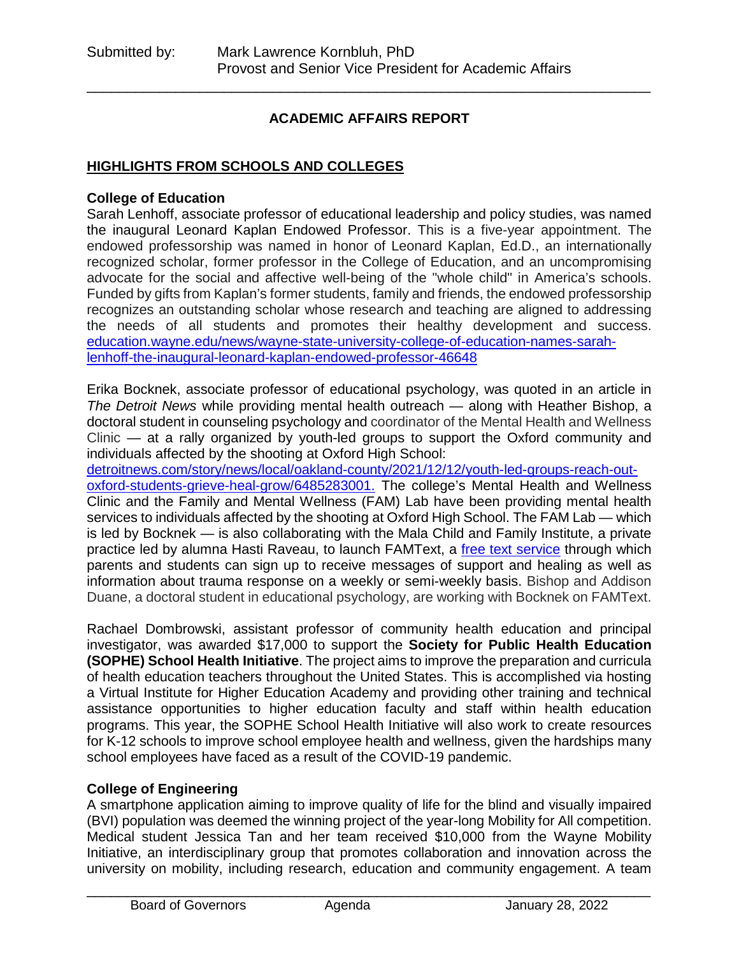### **ACADEMIC AFFAIRS REPORT**

\_\_\_\_\_\_\_\_\_\_\_\_\_\_\_\_\_\_\_\_\_\_\_\_\_\_\_\_\_\_\_\_\_\_\_\_\_\_\_\_\_\_\_\_\_\_\_\_\_\_\_\_\_\_\_\_\_\_\_\_\_\_\_\_\_\_\_\_\_\_

#### **HIGHLIGHTS FROM SCHOOLS AND COLLEGES**

#### **College of Education**

Sarah Lenhoff, associate professor of educational leadership and policy studies, was named the inaugural Leonard Kaplan Endowed Professor. This is a five-year appointment. The endowed professorship was named in honor of Leonard Kaplan, Ed.D., an internationally recognized scholar, former professor in the College of Education, and an uncompromising advocate for the social and affective well-being of the "whole child" in America's schools. Funded by gifts from Kaplan's former students, family and friends, the endowed professorship recognizes an outstanding scholar whose research and teaching are aligned to addressing the needs of all students and promotes their healthy development and success. [education.wayne.edu/news/wayne-state-university-college-of-education-names-sarah](https://education.wayne.edu/news/wayne-state-university-college-of-education-names-sarah-lenhoff-the-inaugural-leonard-kaplan-endowed-professor-46648)[lenhoff-the-inaugural-leonard-kaplan-endowed-professor-46648](https://education.wayne.edu/news/wayne-state-university-college-of-education-names-sarah-lenhoff-the-inaugural-leonard-kaplan-endowed-professor-46648)

Erika Bocknek, associate professor of educational psychology, was quoted in an article in *The Detroit News* while providing mental health outreach — along with Heather Bishop, a doctoral student in counseling psychology and coordinator of the Mental Health and Wellness Clinic — at a rally organized by youth-led groups to support the Oxford community and individuals affected by the shooting at Oxford High School:

[detroitnews.com/story/news/local/oakland-county/2021/12/12/youth-led-groups-reach-out](https://www.detroitnews.com/story/news/local/oakland-county/2021/12/12/youth-led-groups-reach-out-oxford-students-grieve-heal-grow/6485283001/)[oxford-students-grieve-heal-grow/6485283001.](https://www.detroitnews.com/story/news/local/oakland-county/2021/12/12/youth-led-groups-reach-out-oxford-students-grieve-heal-grow/6485283001/) The college's Mental Health and Wellness Clinic and the Family and Mental Wellness (FAM) Lab have been providing mental health services to individuals affected by the shooting at Oxford High School. The FAM Lab — which is led by Bocknek — is also collaborating with the Mala Child and Family Institute, a private practice led by alumna Hasti Raveau, to launch FAMText, a [free text service](https://www.wsufamilies.org/) through which parents and students can sign up to receive messages of support and healing as well as information about trauma response on a weekly or semi-weekly basis. Bishop and Addison Duane, a doctoral student in educational psychology, are working with Bocknek on FAMText.

Rachael Dombrowski, assistant professor of community health education and principal investigator, was awarded \$17,000 to support the **Society for Public Health Education (SOPHE) School Health Initiative**. The project aims to improve the preparation and curricula of health education teachers throughout the United States. This is accomplished via hosting a Virtual Institute for Higher Education Academy and providing other training and technical assistance opportunities to higher education faculty and staff within health education programs. This year, the SOPHE School Health Initiative will also work to create resources for K-12 schools to improve school employee health and wellness, given the hardships many school employees have faced as a result of the COVID-19 pandemic.

#### **College of Engineering**

A smartphone application aiming to improve quality of life for the blind and visually impaired (BVI) population was deemed the winning project of the year-long Mobility for All competition. Medical student Jessica Tan and her team received \$10,000 from the Wayne Mobility Initiative, an interdisciplinary group that promotes collaboration and innovation across the university on mobility, including research, education and community engagement. A team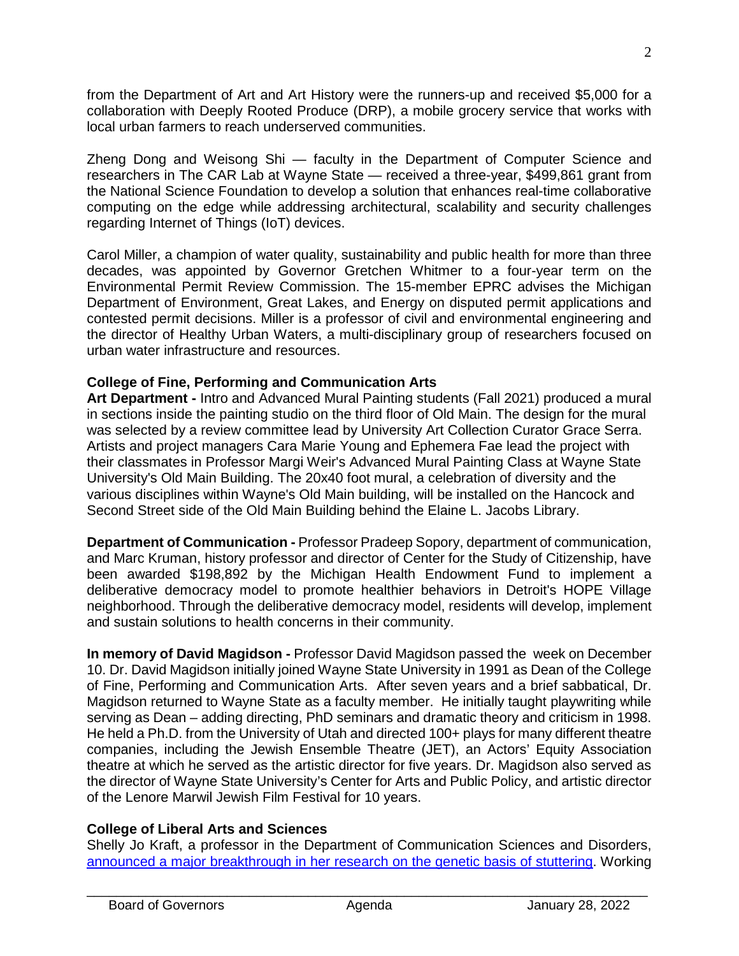from the Department of Art and Art History were the runners-up and received \$5,000 for a collaboration with Deeply Rooted Produce (DRP), a mobile grocery service that works with local urban farmers to reach underserved communities.

Zheng Dong and Weisong Shi — faculty in the Department of Computer Science and researchers in The CAR Lab at Wayne State — received a three-year, \$499,861 grant from the National Science Foundation to develop a solution that enhances real-time collaborative computing on the edge while addressing architectural, scalability and security challenges regarding Internet of Things (IoT) devices.

Carol Miller, a champion of water quality, sustainability and public health for more than three decades, was appointed by Governor Gretchen Whitmer to a four-year term on the Environmental Permit Review Commission. The 15-member EPRC advises the Michigan Department of Environment, Great Lakes, and Energy on disputed permit applications and contested permit decisions. Miller is a professor of civil and environmental engineering and the director of Healthy Urban Waters, a multi-disciplinary group of researchers focused on urban water infrastructure and resources.

#### **College of Fine, Performing and Communication Arts**

**Art Department -** Intro and Advanced Mural Painting students (Fall 2021) produced a mural in sections inside the painting studio on the third floor of Old Main. The design for the mural was selected by a review committee lead by University Art Collection Curator Grace Serra. Artists and project managers Cara Marie Young and Ephemera Fae lead the project with their classmates in Professor Margi Weir's Advanced Mural Painting Class at Wayne State University's Old Main Building. The 20x40 foot mural, a celebration of diversity and the various disciplines within Wayne's Old Main building, will be installed on the Hancock and Second Street side of the Old Main Building behind the Elaine L. Jacobs Library.

**Department of Communication -** Professor Pradeep Sopory, department of communication, and Marc Kruman, history professor and director of Center for the Study of Citizenship, have been awarded \$198,892 by the Michigan Health Endowment Fund to implement a deliberative democracy model to promote healthier behaviors in Detroit's HOPE Village neighborhood. Through the deliberative democracy model, residents will develop, implement and sustain solutions to health concerns in their community.

**In memory of David Magidson -** Professor David Magidson passed the week on December 10. Dr. David Magidson initially joined Wayne State University in 1991 as Dean of the College of Fine, Performing and Communication Arts. After seven years and a brief sabbatical, Dr. Magidson returned to Wayne State as a faculty member. He initially taught playwriting while serving as Dean – adding directing, PhD seminars and dramatic theory and criticism in 1998. He held a Ph.D. from the University of Utah and directed 100+ plays for many different theatre companies, including the Jewish Ensemble Theatre (JET), an Actors' Equity Association theatre at which he served as the artistic director for five years. Dr. Magidson also served as the director of Wayne State University's Center for Arts and Public Policy, and artistic director of the Lenore Marwil Jewish Film Festival for 10 years.

#### **College of Liberal Arts and Sciences**

Shelly Jo Kraft, a professor in the Department of Communication Sciences and Disorders, [announced a major breakthrough in her research on the genetic basis of stuttering.](https://clas.wayne.edu/news/gene-discoveries-give-new-hope-to-people-who-stutter-43977) Working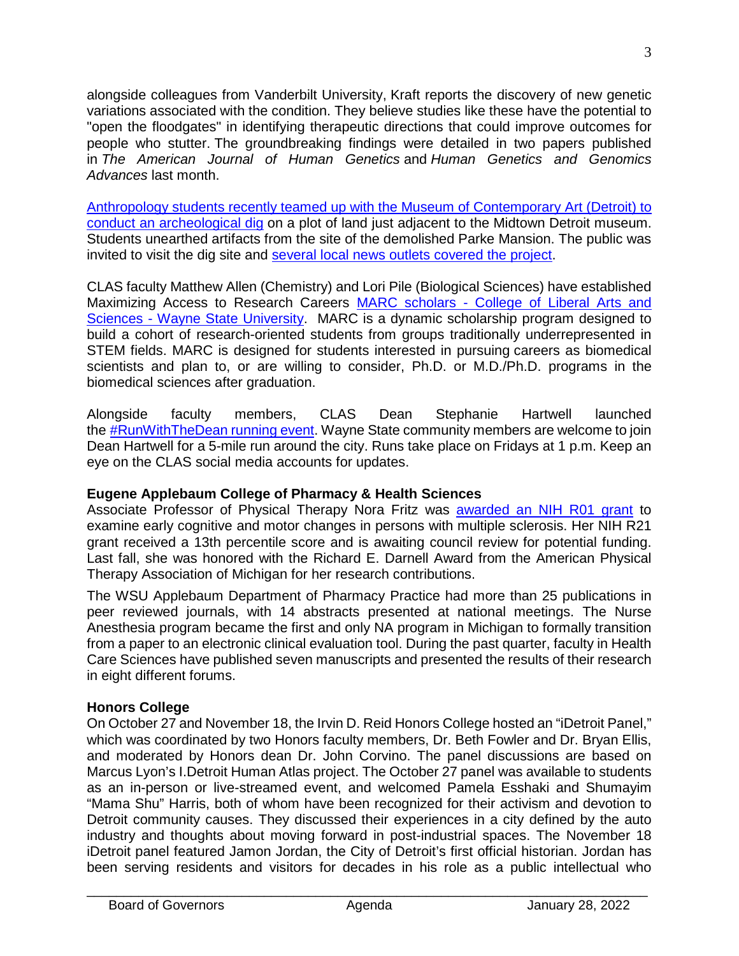alongside colleagues from Vanderbilt University, Kraft reports the discovery of new genetic variations associated with the condition. They believe studies like these have the potential to "open the floodgates" in identifying therapeutic directions that could improve outcomes for people who stutter. The groundbreaking findings were detailed in two papers published in *The American Journal of Human Genetics* and *Human Genetics and Genomics Advances* last month.

[Anthropology students recently teamed up with the Museum of Contemporary Art \(Detroit\) to](https://www.freep.com/story/news/local/michigan/detroit/2021/11/18/mocad-excavation-2021-what-they-found/8630309002/?utm_source=link&utm_medium=email-619bf72ed1056&utm_campaign=Monday,+November+22,+2021+-+Today@Wayne+-+Wayne+State+Universit&utm_content=Wayne+State+archeologists+dug+up+MOCAD+site:+Here%27s+what+they+f)  [conduct an archeological dig](https://www.freep.com/story/news/local/michigan/detroit/2021/11/18/mocad-excavation-2021-what-they-found/8630309002/?utm_source=link&utm_medium=email-619bf72ed1056&utm_campaign=Monday,+November+22,+2021+-+Today@Wayne+-+Wayne+State+Universit&utm_content=Wayne+State+archeologists+dug+up+MOCAD+site:+Here%27s+what+they+f) on a plot of land just adjacent to the Midtown Detroit museum. Students unearthed artifacts from the site of the demolished Parke Mansion. The public was invited to visit the dig site and [several local news outlets covered](https://www.freep.com/story/news/local/michigan/detroit/2021/11/18/mocad-excavation-2021-what-they-found/8630309002/?utm_source=link&utm_medium=email-619bf72ed1056&utm_campaign=Monday,+November+22,+2021+-+Today@Wayne+-+Wayne+State+Universit&utm_content=Wayne+State+archeologists+dug+up+MOCAD+site:+Here%27s+what+they+f) the project.

CLAS faculty Matthew Allen (Chemistry) and Lori Pile (Biological Sciences) have established Maximizing Access to Research Careers MARC scholars - [College of Liberal Arts and](https://clas.wayne.edu/research/marc/scholars)  Sciences - [Wayne State University.](https://clas.wayne.edu/research/marc/scholars) MARC is a dynamic scholarship program designed to build a cohort of research-oriented students from groups traditionally underrepresented in STEM fields. MARC is designed for students interested in pursuing careers as biomedical scientists and plan to, or are willing to consider, Ph.D. or M.D./Ph.D. programs in the biomedical sciences after graduation.

Alongside faculty members, CLAS Dean Stephanie Hartwell launched the [#RunWithTheDean running event.](https://twitter.com/hashtag/rwtd?src=hashtag_click) Wayne State community members are welcome to join Dean Hartwell for a 5-mile run around the city. Runs take place on Fridays at 1 p.m. Keep an eye on the CLAS social media accounts for updates.

## **Eugene Applebaum College of Pharmacy & Health Sciences**

Associate Professor of Physical Therapy Nora Fritz was **[awarded an NIH R01 grant](https://cphs.wayne.edu/news/faculty-spotlight-associate-professor-nora-fritz-44000)** to examine early cognitive and motor changes in persons with multiple sclerosis. Her NIH R21 grant received a 13th percentile score and is awaiting council review for potential funding. Last fall, she was honored with the Richard E. Darnell Award from the American Physical Therapy Association of Michigan for her research contributions.

The WSU Applebaum Department of Pharmacy Practice had more than 25 publications in peer reviewed journals, with 14 abstracts presented at national meetings. The Nurse Anesthesia program became the first and only NA program in Michigan to formally transition from a paper to an electronic clinical evaluation tool. During the past quarter, faculty in Health Care Sciences have published seven manuscripts and presented the results of their research in eight different forums.

## **Honors College**

On October 27 and November 18, the Irvin D. Reid Honors College hosted an "iDetroit Panel," which was coordinated by two Honors faculty members, Dr. Beth Fowler and Dr. Bryan Ellis, and moderated by Honors dean Dr. John Corvino. The panel discussions are based on Marcus Lyon's I.Detroit Human Atlas project. The October 27 panel was available to students as an in-person or live-streamed event, and welcomed Pamela Esshaki and Shumayim "Mama Shu" Harris, both of whom have been recognized for their activism and devotion to Detroit community causes. They discussed their experiences in a city defined by the auto industry and thoughts about moving forward in post-industrial spaces. The November 18 iDetroit panel featured Jamon Jordan, the City of Detroit's first official historian. Jordan has been serving residents and visitors for decades in his role as a public intellectual who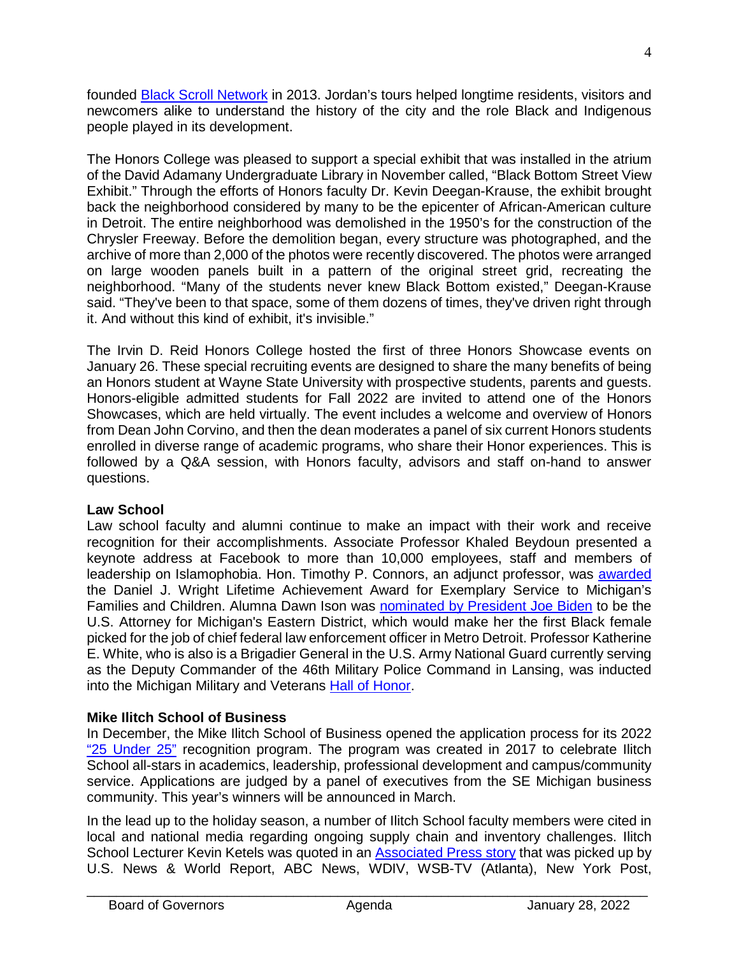founded [Black Scroll Network](https://blackscrollnetwork.weebly.com/) in 2013. Jordan's tours helped longtime residents, visitors and newcomers alike to understand the history of the city and the role Black and Indigenous people played in its development.

The Honors College was pleased to support a special exhibit that was installed in the atrium of the David Adamany Undergraduate Library in November called, "Black Bottom Street View Exhibit." Through the efforts of Honors faculty Dr. Kevin Deegan-Krause, the exhibit brought back the neighborhood considered by many to be the epicenter of African-American culture in Detroit. The entire neighborhood was demolished in the 1950's for the construction of the Chrysler Freeway. Before the demolition began, every structure was photographed, and the archive of more than 2,000 of the photos were recently discovered. The photos were arranged on large wooden panels built in a pattern of the original street grid, recreating the neighborhood. "Many of the students never knew Black Bottom existed," Deegan-Krause said. "They've been to that space, some of them dozens of times, they've driven right through it. And without this kind of exhibit, it's invisible."

The Irvin D. Reid Honors College hosted the first of three Honors Showcase events on January 26. These special recruiting events are designed to share the many benefits of being an Honors student at Wayne State University with prospective students, parents and guests. Honors-eligible admitted students for Fall 2022 are invited to attend one of the Honors Showcases, which are held virtually. The event includes a welcome and overview of Honors from Dean John Corvino, and then the dean moderates a panel of six current Honors students enrolled in diverse range of academic programs, who share their Honor experiences. This is followed by a Q&A session, with Honors faculty, advisors and staff on-hand to answer questions.

## **Law School**

Law school faculty and alumni continue to make an impact with their work and receive recognition for their accomplishments. Associate Professor Khaled Beydoun presented a keynote address at Facebook to more than 10,000 employees, staff and members of leadership on Islamophobia. Hon. Timothy P. Connors, an adjunct professor, was [awarded](https://www.mlive.com/news/ann-arbor/2021/11/washtenaw-county-judge-honored-for-work-with-adoption-services.html) the Daniel J. Wright Lifetime Achievement Award for Exemplary Service to Michigan's Families and Children. Alumna Dawn Ison was **nominated by President Joe Biden** to be the U.S. Attorney for Michigan's Eastern District, which would make her the first Black female picked for the job of chief federal law enforcement officer in Metro Detroit. Professor Katherine E. White, who is also is a Brigadier General in the U.S. Army National Guard currently serving as the Deputy Commander of the 46th Military Police Command in Lansing, was inducted into the Michigan Military and Veterans [Hall of Honor.](https://www.mimilitaryvethallofhonor.org/)

## **Mike Ilitch School of Business**

In December, the Mike Ilitch School of Business opened the application process for its 2022 ["25 Under 25"](https://ilitchbusiness.wayne.edu/25.php) recognition program. The program was created in 2017 to celebrate Ilitch School all-stars in academics, leadership, professional development and campus/community service. Applications are judged by a panel of executives from the SE Michigan business community. This year's winners will be announced in March.

In the lead up to the holiday season, a number of Ilitch School faculty members were cited in local and national media regarding ongoing supply chain and inventory challenges. Ilitch School Lecturer Kevin Ketels was quoted in an [Associated Press story](https://apnews.com/article/coronavirus-pandemic-business-health-46d95cc0d03851a34273b2e4ad4e7d4e) that was picked up by U.S. News & World Report, ABC News, WDIV, WSB-TV (Atlanta), New York Post,

4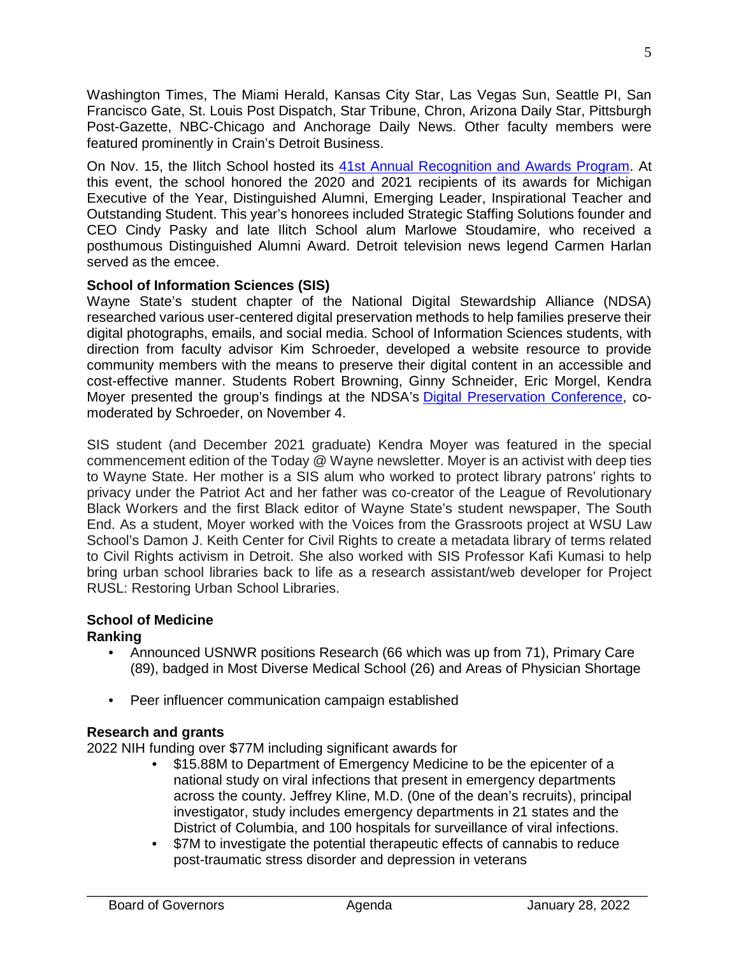Washington Times, The Miami Herald, Kansas City Star, Las Vegas Sun, Seattle PI, San Francisco Gate, St. Louis Post Dispatch, Star Tribune, Chron, Arizona Daily Star, Pittsburgh Post-Gazette, NBC-Chicago and Anchorage Daily News. Other faculty members were featured prominently in Crain's Detroit Business.

On Nov. 15, the Ilitch School hosted its [41st Annual Recognition and Awards Program.](https://ilitchbusiness.wayne.edu/news/ilitch-school-hosts-41st-annual-recognition-and-awards-program-43902) At this event, the school honored the 2020 and 2021 recipients of its awards for Michigan Executive of the Year, Distinguished Alumni, Emerging Leader, Inspirational Teacher and Outstanding Student. This year's honorees included Strategic Staffing Solutions founder and CEO Cindy Pasky and late Ilitch School alum Marlowe Stoudamire, who received a posthumous Distinguished Alumni Award. Detroit television news legend Carmen Harlan served as the emcee.

#### **School of Information Sciences (SIS)**

Wayne State's student chapter of the National Digital Stewardship Alliance (NDSA) researched various user-centered digital preservation methods to help families preserve their digital photographs, emails, and social media. School of Information Sciences students, with direction from faculty advisor Kim Schroeder, developed a website resource to provide community members with the means to preserve their digital content in an accessible and cost-effective manner. Students Robert Browning, Ginny Schneider, Eric Morgel, Kendra Moyer presented the group's findings at the NDSA's [Digital Preservation Conference,](https://ndsa.org/conference/) comoderated by Schroeder, on November 4.

SIS student (and December 2021 graduate) Kendra Moyer was featured in the special commencement edition of the Today @ Wayne newsletter. Moyer is an activist with deep ties to Wayne State. Her mother is a SIS alum who worked to protect library patrons' rights to privacy under the Patriot Act and her father was co-creator of the League of Revolutionary Black Workers and the first Black editor of Wayne State's student newspaper, The South End. As a student, Moyer worked with the Voices from the Grassroots project at WSU Law School's Damon J. Keith Center for Civil Rights to create a metadata library of terms related to Civil Rights activism in Detroit. She also worked with SIS Professor Kafi Kumasi to help bring urban school libraries back to life as a research assistant/web developer for Project RUSL: Restoring Urban School Libraries.

# **School of Medicine**

#### **Ranking**

- Announced USNWR positions Research (66 which was up from 71), Primary Care (89), badged in Most Diverse Medical School (26) and Areas of Physician Shortage
- Peer influencer communication campaign established

#### **Research and grants**

2022 NIH funding over \$77M including significant awards for

- \$15.88M to Department of Emergency Medicine to be the epicenter of a national study on viral infections that present in emergency departments across the county. Jeffrey Kline, M.D. (0ne of the dean's recruits), principal investigator, study includes emergency departments in 21 states and the District of Columbia, and 100 hospitals for surveillance of viral infections.
- \$7M to investigate the potential therapeutic effects of cannabis to reduce post-traumatic stress disorder and depression in veterans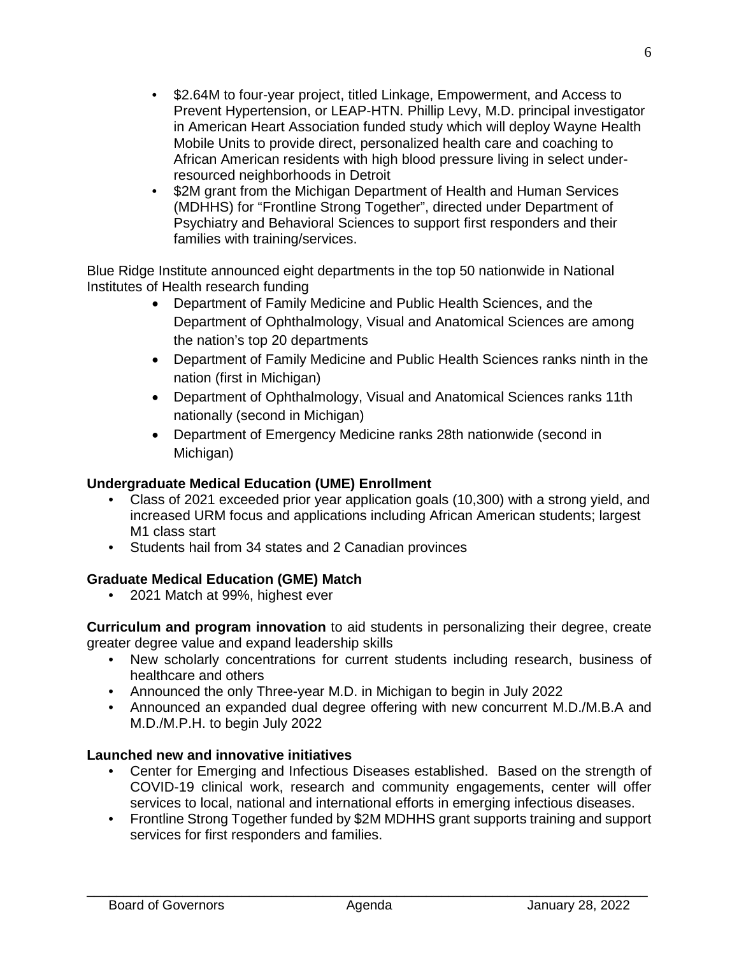- \$2.64M to four-year project, titled Linkage, Empowerment, and Access to Prevent Hypertension, or LEAP-HTN. Phillip Levy, M.D. principal investigator in American Heart Association funded study which will deploy Wayne Health Mobile Units to provide direct, personalized health care and coaching to African American residents with high blood pressure living in select underresourced neighborhoods in Detroit
- \$2M grant from the Michigan Department of Health and Human Services (MDHHS) for "Frontline Strong Together", directed under Department of Psychiatry and Behavioral Sciences to support first responders and their families with training/services.

Blue Ridge Institute announced eight departments in the top 50 nationwide in National Institutes of Health research funding

- Department of Family Medicine and Public Health Sciences, and the Department of Ophthalmology, Visual and Anatomical Sciences are among the nation's top 20 departments
- Department of Family Medicine and Public Health Sciences ranks ninth in the nation (first in Michigan)
- Department of Ophthalmology, Visual and Anatomical Sciences ranks 11th nationally (second in Michigan)
- Department of Emergency Medicine ranks 28th nationwide (second in Michigan)

### **Undergraduate Medical Education (UME) Enrollment**

- Class of 2021 exceeded prior year application goals (10,300) with a strong yield, and increased URM focus and applications including African American students; largest M1 class start
- Students hail from 34 states and 2 Canadian provinces

## **Graduate Medical Education (GME) Match**

• 2021 Match at 99%, highest ever

**Curriculum and program innovation** to aid students in personalizing their degree, create greater degree value and expand leadership skills

- New scholarly concentrations for current students including research, business of healthcare and others
- Announced the only Three-year M.D. in Michigan to begin in July 2022
- Announced an expanded dual degree offering with new concurrent M.D./M.B.A and M.D./M.P.H. to begin July 2022

#### **Launched new and innovative initiatives**

- Center for Emerging and Infectious Diseases established. Based on the strength of COVID-19 clinical work, research and community engagements, center will offer services to local, national and international efforts in emerging infectious diseases.
- Frontline Strong Together funded by \$2M MDHHS grant supports training and support services for first responders and families.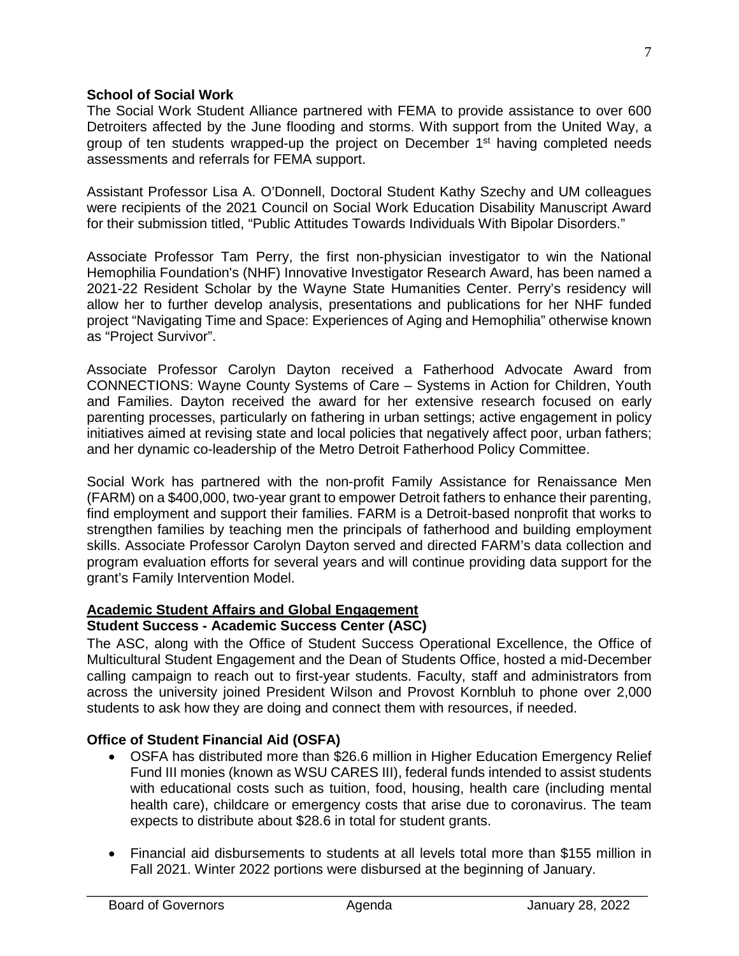#### **School of Social Work**

The Social Work Student Alliance partnered with FEMA to provide assistance to over 600 Detroiters affected by the June flooding and storms. With support from the United Way, a group of ten students wrapped-up the project on December 1st having completed needs assessments and referrals for FEMA support.

Assistant Professor Lisa A. O'Donnell, Doctoral Student Kathy Szechy and UM colleagues were recipients of the 2021 Council on Social Work Education Disability Manuscript Award for their submission titled, "Public Attitudes Towards Individuals With Bipolar Disorders."

Associate Professor Tam Perry, the first non-physician investigator to win the National Hemophilia Foundation's (NHF) Innovative Investigator Research Award, has been named a 2021-22 Resident Scholar by the Wayne State Humanities Center. Perry's residency will allow her to further develop analysis, presentations and publications for her NHF funded project "Navigating Time and Space: Experiences of Aging and Hemophilia" otherwise known as "Project Survivor".

Associate Professor Carolyn Dayton received a Fatherhood Advocate Award from CONNECTIONS: Wayne County Systems of Care – Systems in Action for Children, Youth and Families. Dayton received the award for her extensive research focused on early parenting processes, particularly on fathering in urban settings; active engagement in policy initiatives aimed at revising state and local policies that negatively affect poor, urban fathers; and her dynamic co-leadership of the Metro Detroit Fatherhood Policy Committee.

Social Work has partnered with the non-profit Family Assistance for Renaissance Men (FARM) on a \$400,000, two-year grant to empower Detroit fathers to enhance their parenting, find employment and support their families. FARM is a Detroit-based nonprofit that works to strengthen families by teaching men the principals of fatherhood and building employment skills. Associate Professor Carolyn Dayton served and directed FARM's data collection and program evaluation efforts for several years and will continue providing data support for the grant's Family Intervention Model.

#### **Academic Student Affairs and Global Engagement Student Success - Academic Success Center (ASC)**

The ASC, along with the Office of Student Success Operational Excellence, the Office of Multicultural Student Engagement and the Dean of Students Office, hosted a mid-December calling campaign to reach out to first-year students. Faculty, staff and administrators from across the university joined President Wilson and Provost Kornbluh to phone over 2,000 students to ask how they are doing and connect them with resources, if needed.

#### **Office of Student Financial Aid (OSFA)**

- OSFA has distributed more than \$26.6 million in Higher Education Emergency Relief Fund III monies (known as WSU CARES III), federal funds intended to assist students with educational costs such as tuition, food, housing, health care (including mental health care), childcare or emergency costs that arise due to coronavirus. The team expects to distribute about \$28.6 in total for student grants.
- Financial aid disbursements to students at all levels total more than \$155 million in Fall 2021. Winter 2022 portions were disbursed at the beginning of January.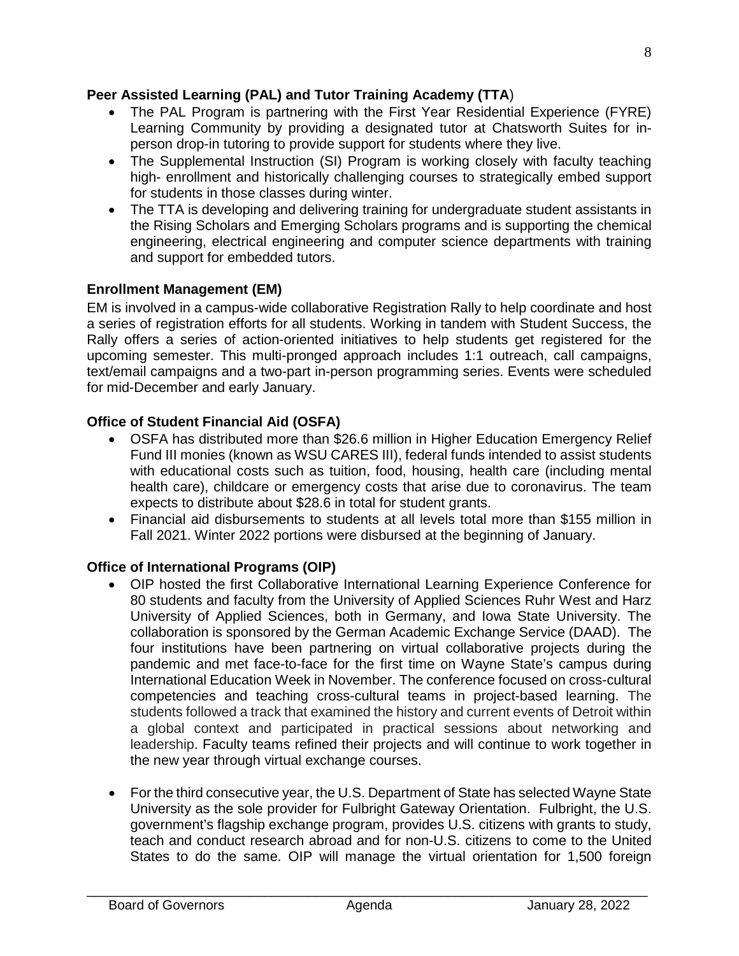### **Peer Assisted Learning (PAL) and Tutor Training Academy (TTA**)

- The PAL Program is partnering with the First Year Residential Experience (FYRE) Learning Community by providing a designated tutor at Chatsworth Suites for inperson drop-in tutoring to provide support for students where they live.
- The Supplemental Instruction (SI) Program is working closely with faculty teaching high- enrollment and historically challenging courses to strategically embed support for students in those classes during winter.
- The TTA is developing and delivering training for undergraduate student assistants in the Rising Scholars and Emerging Scholars programs and is supporting the chemical engineering, electrical engineering and computer science departments with training and support for embedded tutors.

### **Enrollment Management (EM)**

EM is involved in a campus-wide collaborative Registration Rally to help coordinate and host a series of registration efforts for all students. Working in tandem with Student Success, the Rally offers a series of action-oriented initiatives to help students get registered for the upcoming semester. This multi-pronged approach includes 1:1 outreach, call campaigns, text/email campaigns and a two-part in-person programming series. Events were scheduled for mid-December and early January.

### **Office of Student Financial Aid (OSFA)**

- OSFA has distributed more than \$26.6 million in Higher Education Emergency Relief Fund III monies (known as WSU CARES III), federal funds intended to assist students with educational costs such as tuition, food, housing, health care (including mental health care), childcare or emergency costs that arise due to coronavirus. The team expects to distribute about \$28.6 in total for student grants.
- Financial aid disbursements to students at all levels total more than \$155 million in Fall 2021. Winter 2022 portions were disbursed at the beginning of January.

## **Office of International Programs (OIP)**

- OIP hosted the first Collaborative International Learning Experience Conference for 80 students and faculty from the University of Applied Sciences Ruhr West and Harz University of Applied Sciences, both in Germany, and Iowa State University. The collaboration is sponsored by the German Academic Exchange Service (DAAD). The four institutions have been partnering on virtual collaborative projects during the pandemic and met face-to-face for the first time on Wayne State's campus during International Education Week in November. The conference focused on cross-cultural competencies and teaching cross-cultural teams in project-based learning. The students followed a track that examined the history and current events of Detroit within a global context and participated in practical sessions about networking and leadership. Faculty teams refined their projects and will continue to work together in the new year through virtual exchange courses.
- For the third consecutive year, the U.S. Department of State has selected Wayne State University as the sole provider for Fulbright Gateway Orientation. Fulbright, the U.S. government's flagship exchange program, provides U.S. citizens with grants to study, teach and conduct research abroad and for non-U.S. citizens to come to the United States to do the same. OIP will manage the virtual orientation for 1,500 foreign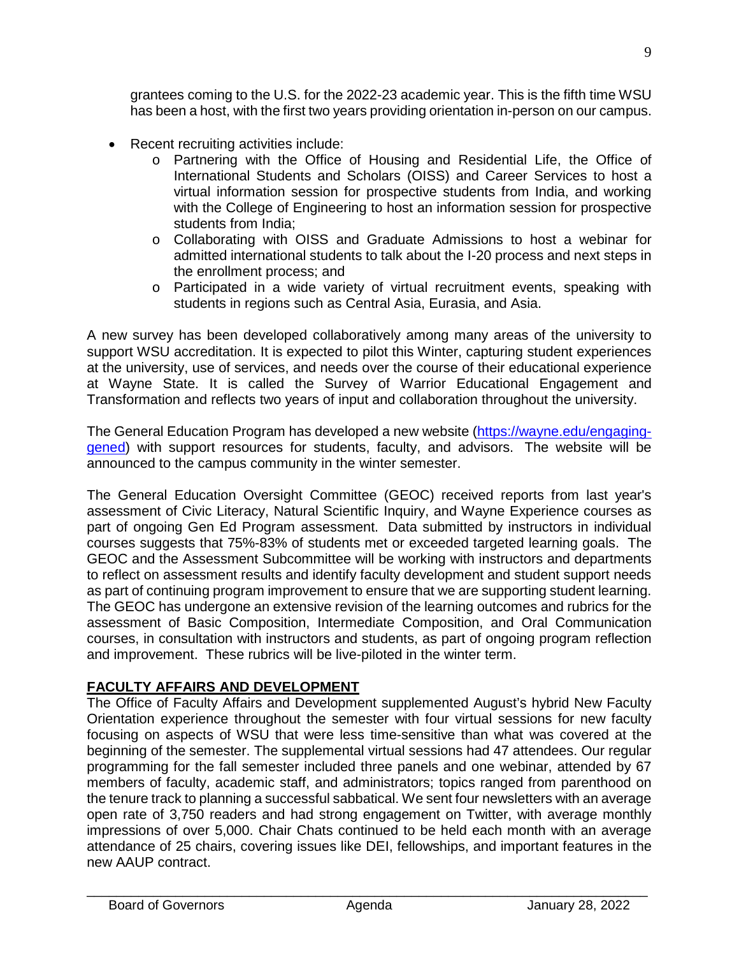grantees coming to the U.S. for the 2022-23 academic year. This is the fifth time WSU has been a host, with the first two years providing orientation in-person on our campus.

- Recent recruiting activities include:
	- o Partnering with the Office of Housing and Residential Life, the Office of International Students and Scholars (OISS) and Career Services to host a virtual information session for prospective students from India, and working with the College of Engineering to host an information session for prospective students from India;
	- o Collaborating with OISS and Graduate Admissions to host a webinar for admitted international students to talk about the I-20 process and next steps in the enrollment process; and
	- o Participated in a wide variety of virtual recruitment events, speaking with students in regions such as Central Asia, Eurasia, and Asia.

A new survey has been developed collaboratively among many areas of the university to support WSU accreditation. It is expected to pilot this Winter, capturing student experiences at the university, use of services, and needs over the course of their educational experience at Wayne State. It is called the Survey of Warrior Educational Engagement and Transformation and reflects two years of input and collaboration throughout the university.

The General Education Program has developed a new website [\(https://wayne.edu/engaging](https://wayne.edu/engaging-gened)[gened\)](https://wayne.edu/engaging-gened) with support resources for students, faculty, and advisors. The website will be announced to the campus community in the winter semester.

The General Education Oversight Committee (GEOC) received reports from last year's assessment of Civic Literacy, Natural Scientific Inquiry, and Wayne Experience courses as part of ongoing Gen Ed Program assessment. Data submitted by instructors in individual courses suggests that 75%-83% of students met or exceeded targeted learning goals. The GEOC and the Assessment Subcommittee will be working with instructors and departments to reflect on assessment results and identify faculty development and student support needs as part of continuing program improvement to ensure that we are supporting student learning. The GEOC has undergone an extensive revision of the learning outcomes and rubrics for the assessment of Basic Composition, Intermediate Composition, and Oral Communication courses, in consultation with instructors and students, as part of ongoing program reflection and improvement. These rubrics will be live-piloted in the winter term.

## **FACULTY AFFAIRS AND DEVELOPMENT**

The Office of Faculty Affairs and Development supplemented August's hybrid New Faculty Orientation experience throughout the semester with four virtual sessions for new faculty focusing on aspects of WSU that were less time-sensitive than what was covered at the beginning of the semester. The supplemental virtual sessions had 47 attendees. Our regular programming for the fall semester included three panels and one webinar, attended by 67 members of faculty, academic staff, and administrators; topics ranged from parenthood on the tenure track to planning a successful sabbatical. We sent four newsletters with an average open rate of 3,750 readers and had strong engagement on Twitter, with average monthly impressions of over 5,000. Chair Chats continued to be held each month with an average attendance of 25 chairs, covering issues like DEI, fellowships, and important features in the new AAUP contract.